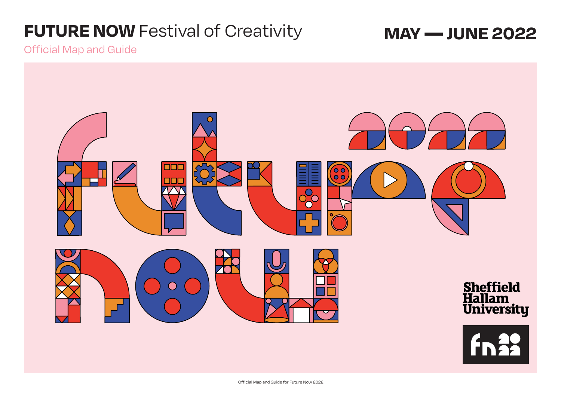# **FUTURE NOW** Festival of Creativity **MAY — JUNE 2022**

Official Map and Guide



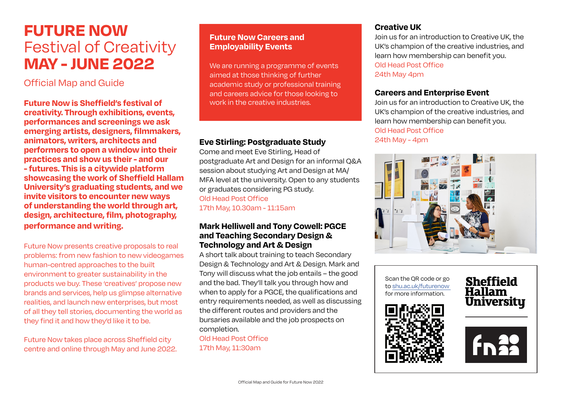## **FUTURE NOW** Festival of Creativity **MAY - JUNE 2022**

### Official Map and Guide

**Future Now is Sheffield's festival of creativity. Through exhibitions, events, performances and screenings we ask emerging artists, designers, filmmakers, animators, writers, architects and performers to open a window into their practices and show us their - and our - futures. This is a citywide platform showcasing the work of Sheffield Hallam University's graduating students, and we invite visitors to encounter new ways of understanding the world through art, design, architecture, film, photography, performance and writing.**

Future Now presents creative proposals to real problems: from new fashion to new videogames human-centred approaches to the built environment to greater sustainability in the products we buy. These 'creatives' propose new brands and services, help us glimpse alternative realities, and launch new enterprises, but most of all they tell stories, documenting the world as they find it and how they'd like it to be.

Future Now takes place across Sheffield city centre and online through May and June 2022.

#### **Future Now Careers and Employability Events**

We are running a programme of events aimed at those thinking of further academic study or professional training and careers advice for those looking to work in the creative industries.

#### **Eve Stirling: Postgraduate Study**

Come and meet Eve Stirling, Head of postgraduate Art and Design for an informal Q&A session about studying Art and Design at MA/ MFA level at the university. Open to any students or graduates considering PG study. Old Head Post Office 17th May, 10.30am - 11:15am

#### **Mark Helliwell and Tony Cowell: PGCE and Teaching Secondary Design & Technology and Art & Design**

A short talk about training to teach Secondary Design & Technology and Art & Design. Mark and Tony will discuss what the job entails – the good and the bad. They'll talk you through how and when to apply for a PGCE, the qualifications and entry requirements needed, as well as discussing the different routes and providers and the bursaries available and the job prospects on completion.

Old Head Post Office 17th May, 11:30am

#### **Creative UK**

Join us for an introduction to Creative UK, the UK's champion of the creative industries, and learn how membership can benefit you. Old Head Post Office 24th May 4pm

#### **Careers and Enterprise Event**

Join us for an introduction to Creative UK, the UK's champion of the creative industries, and learn how membership can benefit you. Old Head Post Office 24th May - 4pm



Scan the QR code or go to [shu.ac.uk/futurenow](https://www.shu.ac.uk/myhallam/university-life/future-now)  for more information.





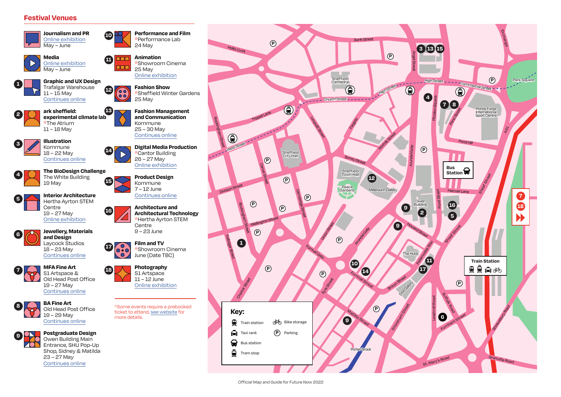#### **Festival Venues**





 $11 - 15$  May

**1**

**2**

**4**

**5**

**6**

**7**

**9**



24 May

[Online exhibition](https://hallamlive.co.uk/)

\*Performance Lab

**Graphic and UX Design** Trafalgar Warehouse **12** 00  $\ddot{\circ}$ [Continues online](https://gallery.shu.ac.uk/)

**14**

**16**

**17**

**18**

**10**



Kommune 25 – 30 May [Continues online](https://gallery.shu.ac.uk/)

\*Cantor Building 26 – 27 May [Online exhibition](https://hallamlive.co.uk/)

**Architecture and**

June (Date TBC) **Photography** S1 Artspace 11 – 12 June [Online exhibition](https://hallamlive.co.uk/)

ticket to attend, [see website](https://www.shu.ac.uk/myhallam/university-life/future-now) for

more details.

**Centre** 9 – 23 June **Film and TV**

**ark sheffield: experimental climate lab** \*The Atrium 11 – 18 May **13**



[Continues online](https://gallery.shu.ac.uk/) **The BioDesign Challenge**



**Interior Architecture Product Design** Kommune 7 – 12 June [Continues online](https://gallery.shu.ac.uk/) **15**

> $\bigodot$ **NO**

Hertha Ayrton STEM **Centre** 19 – 27 May [Online exhibition](https://hallamlive.co.uk/)



[Continues online](https://gallery.shu.ac.uk/) **MFA Fine Art**







Owen Building Main Entrance, SHU Pop-Up Shop, Sidney & Matilda 23 – 27 May [Continues online](https://gallery.shu.ac.uk/)



Official Map and Guide for Future Now 2022